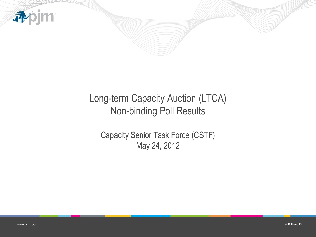

## Long-term Capacity Auction (LTCA) Non-binding Poll Results

Capacity Senior Task Force (CSTF) May 24, 2012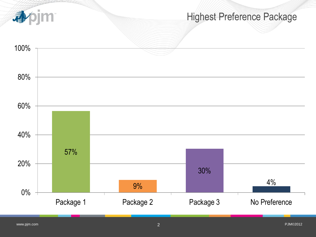

## Highest Preference Package

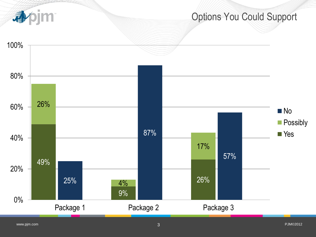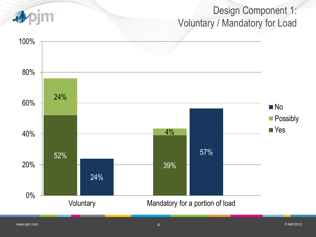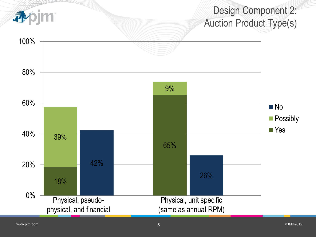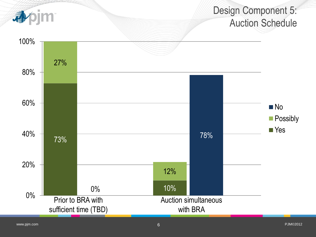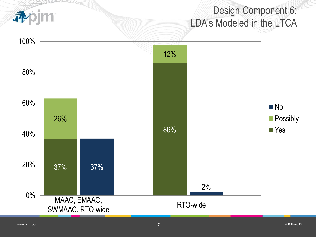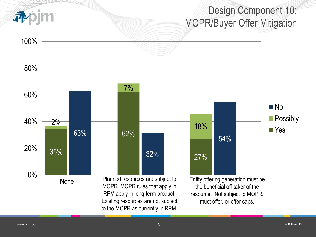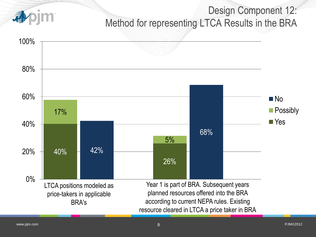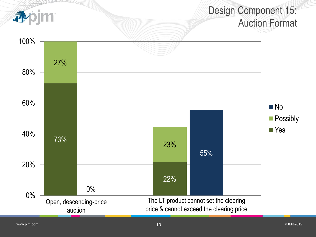